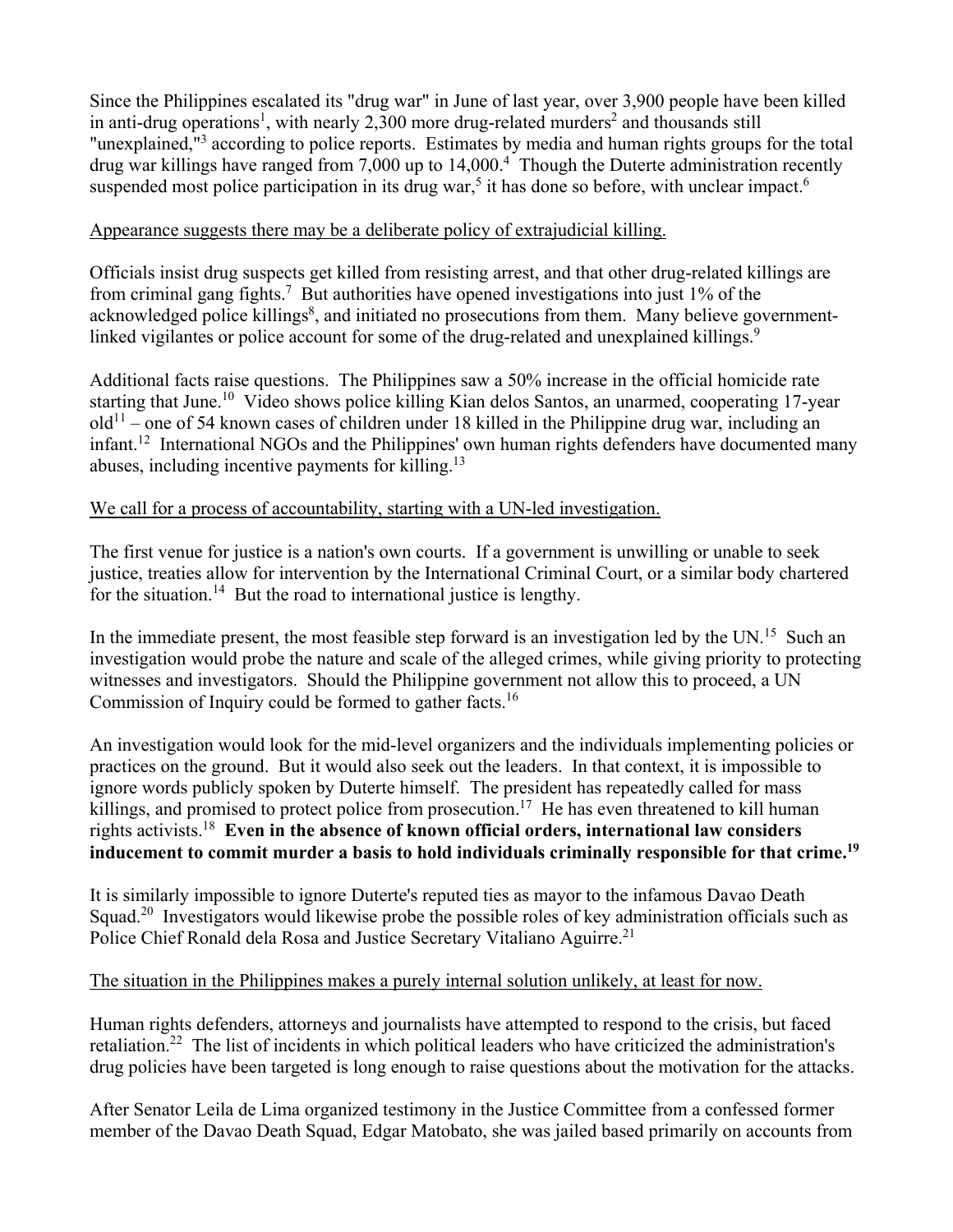Since the Philippines escalated its "drug war" in June of last year, over 3,900 people have been killed in anti-drug operations<sup>1</sup>, with nearly 2,300 more drug-related murders<sup>2</sup> and thousands still "unexplained,"<sup>3</sup> according to police reports. Estimates by media and human rights groups for the total drug war killings have ranged from 7,000 up to 14,000.<sup>4</sup> Though the Duterte administration recently suspended most police participation in its drug war,<sup>5</sup> it has done so before, with unclear impact.<sup>6</sup>

## Appearance suggests there may be a deliberate policy of extrajudicial killing.

Officials insist drug suspects get killed from resisting arrest, and that other drug-related killings are from criminal gang fights.<sup>7</sup> But authorities have opened investigations into just  $1\%$  of the acknowledged police killings<sup>8</sup>, and initiated no prosecutions from them. Many believe governmentlinked vigilantes or police account for some of the drug-related and unexplained killings.<sup>9</sup>

Additional facts raise questions. The Philippines saw a 50% increase in the official homicide rate starting that June.<sup>10</sup> Video shows police killing Kian delos Santos, an unarmed, cooperating 17-year  $old<sup>11</sup>$  – one of 54 known cases of children under 18 killed in the Philippine drug war, including an infant.<sup>12</sup> International NGOs and the Philippines' own human rights defenders have documented many abuses, including incentive payments for killing.<sup>13</sup>

### We call for a process of accountability, starting with a UN-led investigation.

The first venue for justice is a nation's own courts. If a government is unwilling or unable to seek justice, treaties allow for intervention by the International Criminal Court, or a similar body chartered for the situation.<sup>14</sup> But the road to international justice is lengthy.

In the immediate present, the most feasible step forward is an investigation led by the  $UN<sup>15</sup>$  Such an investigation would probe the nature and scale of the alleged crimes, while giving priority to protecting witnesses and investigators. Should the Philippine government not allow this to proceed, a UN Commission of Inquiry could be formed to gather facts.<sup>16</sup>

An investigation would look for the mid-level organizers and the individuals implementing policies or practices on the ground. But it would also seek out the leaders. In that context, it is impossible to ignore words publicly spoken by Duterte himself. The president has repeatedly called for mass killings, and promised to protect police from prosecution.<sup>17</sup> He has even threatened to kill human rights activists.18 **Even in the absence of known official orders, international law considers inducement to commit murder a basis to hold individuals criminally responsible for that crime.19**

It is similarly impossible to ignore Duterte's reputed ties as mayor to the infamous Davao Death Squad.<sup>20</sup> Investigators would likewise probe the possible roles of key administration officials such as Police Chief Ronald dela Rosa and Justice Secretary Vitaliano Aguirre.<sup>21</sup>

## The situation in the Philippines makes a purely internal solution unlikely, at least for now.

Human rights defenders, attorneys and journalists have attempted to respond to the crisis, but faced retaliation.22 The list of incidents in which political leaders who have criticized the administration's drug policies have been targeted is long enough to raise questions about the motivation for the attacks.

After Senator Leila de Lima organized testimony in the Justice Committee from a confessed former member of the Davao Death Squad, Edgar Matobato, she was jailed based primarily on accounts from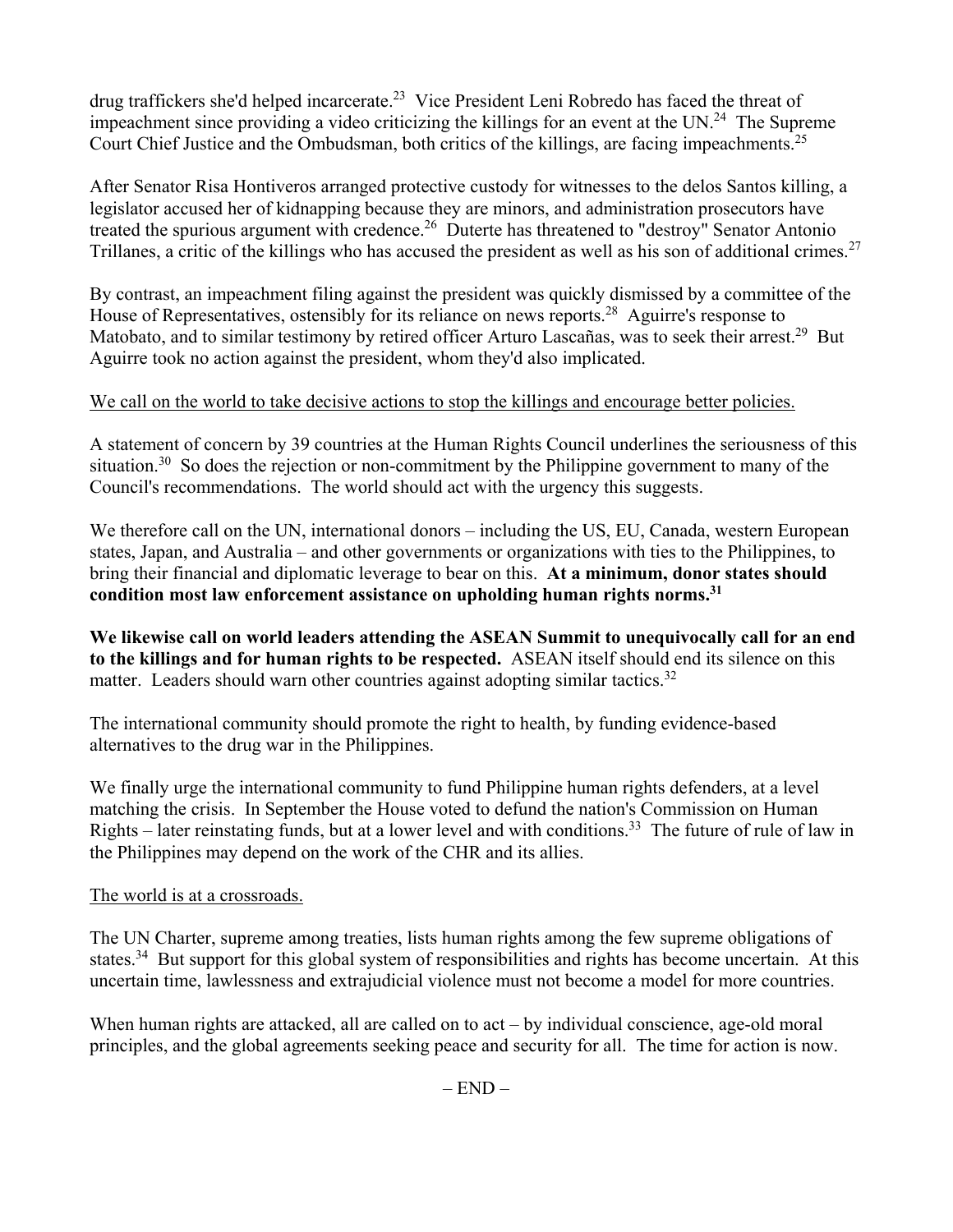drug traffickers she'd helped incarcerate.<sup>23</sup> Vice President Leni Robredo has faced the threat of impeachment since providing a video criticizing the killings for an event at the UN.<sup>24</sup> The Supreme Court Chief Justice and the Ombudsman, both critics of the killings, are facing impeachments.<sup>25</sup>

After Senator Risa Hontiveros arranged protective custody for witnesses to the delos Santos killing, a legislator accused her of kidnapping because they are minors, and administration prosecutors have treated the spurious argument with credence.26 Duterte has threatened to "destroy" Senator Antonio Trillanes, a critic of the killings who has accused the president as well as his son of additional crimes.<sup>27</sup>

By contrast, an impeachment filing against the president was quickly dismissed by a committee of the House of Representatives, ostensibly for its reliance on news reports.<sup>28</sup> Aguirre's response to Matobato, and to similar testimony by retired officer Arturo Lascañas, was to seek their arrest.<sup>29</sup> But Aguirre took no action against the president, whom they'd also implicated.

# We call on the world to take decisive actions to stop the killings and encourage better policies.

A statement of concern by 39 countries at the Human Rights Council underlines the seriousness of this situation.<sup>30</sup> So does the rejection or non-commitment by the Philippine government to many of the Council's recommendations. The world should act with the urgency this suggests.

We therefore call on the UN, international donors – including the US, EU, Canada, western European states, Japan, and Australia – and other governments or organizations with ties to the Philippines, to bring their financial and diplomatic leverage to bear on this. **At a minimum, donor states should condition most law enforcement assistance on upholding human rights norms.31**

**We likewise call on world leaders attending the ASEAN Summit to unequivocally call for an end to the killings and for human rights to be respected.** ASEAN itself should end its silence on this matter. Leaders should warn other countries against adopting similar tactics.<sup>32</sup>

The international community should promote the right to health, by funding evidence-based alternatives to the drug war in the Philippines.

We finally urge the international community to fund Philippine human rights defenders, at a level matching the crisis. In September the House voted to defund the nation's Commission on Human Rights – later reinstating funds, but at a lower level and with conditions.<sup>33</sup> The future of rule of law in the Philippines may depend on the work of the CHR and its allies.

### The world is at a crossroads.

The UN Charter, supreme among treaties, lists human rights among the few supreme obligations of states.<sup>34</sup> But support for this global system of responsibilities and rights has become uncertain. At this uncertain time, lawlessness and extrajudicial violence must not become a model for more countries.

When human rights are attacked, all are called on to act – by individual conscience, age-old moral principles, and the global agreements seeking peace and security for all. The time for action is now.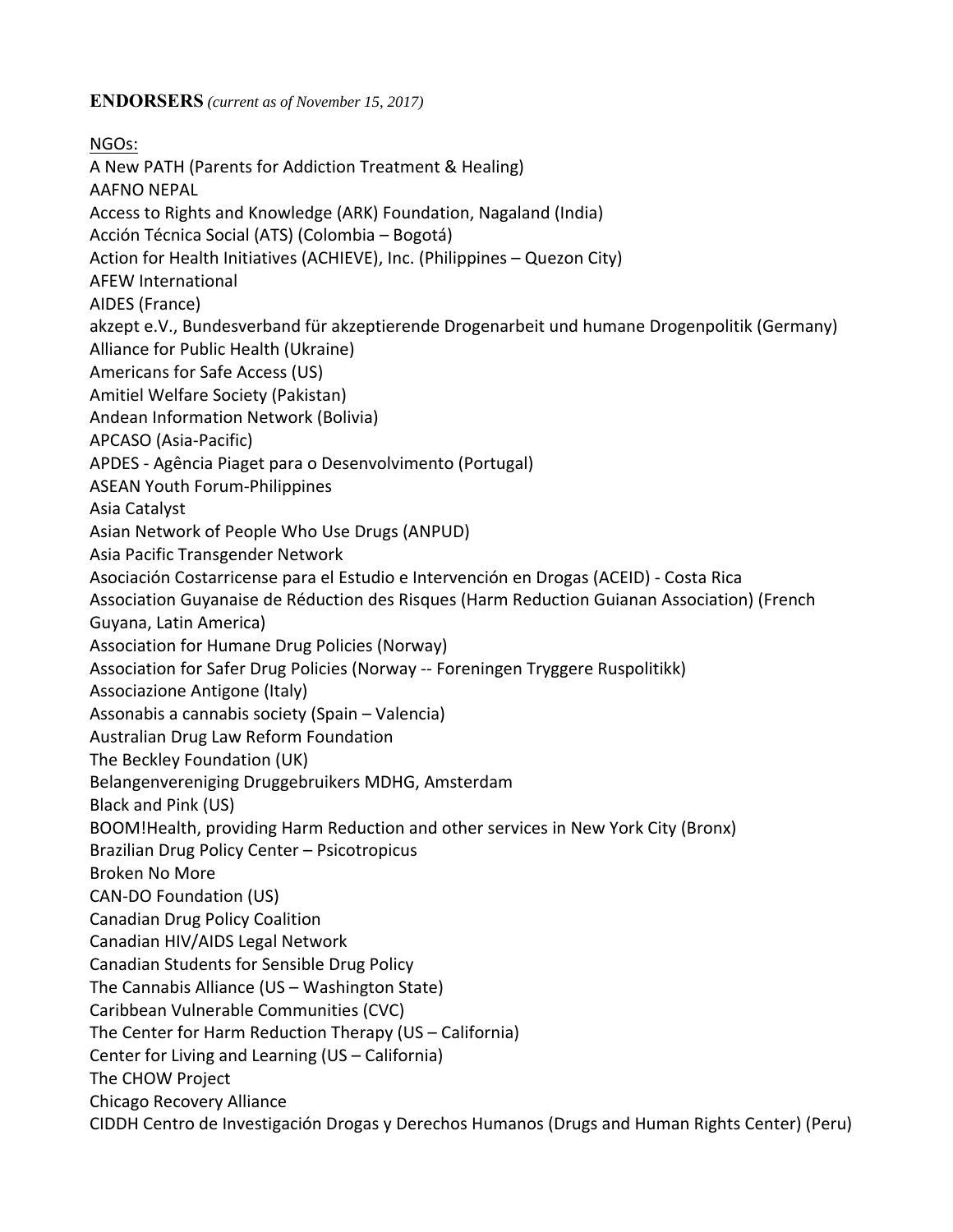**ENDORSERS** *(current as of November 15, 2017)*

NGOs: A New PATH (Parents for Addiction Treatment & Healing) AAFNO NEPAL Access to Rights and Knowledge (ARK) Foundation, Nagaland (India) Acción Técnica Social (ATS) (Colombia – Bogotá) Action for Health Initiatives (ACHIEVE), Inc. (Philippines – Quezon City) AFEW International AIDES (France) akzept e.V., Bundesverband für akzeptierende Drogenarbeit und humane Drogenpolitik (Germany) Alliance for Public Health (Ukraine) Americans for Safe Access (US) Amitiel Welfare Society (Pakistan) Andean Information Network (Bolivia) APCASO (Asia‐Pacific) APDES ‐ Agência Piaget para o Desenvolvimento (Portugal) ASEAN Youth Forum‐Philippines Asia Catalyst Asian Network of People Who Use Drugs (ANPUD) Asia Pacific Transgender Network Asociación Costarricense para el Estudio e Intervención en Drogas (ACEID) ‐ Costa Rica Association Guyanaise de Réduction des Risques (Harm Reduction Guianan Association) (French Guyana, Latin America) Association for Humane Drug Policies (Norway) Association for Safer Drug Policies (Norway ‐‐ Foreningen Tryggere Ruspolitikk) Associazione Antigone (Italy) Assonabis a cannabis society (Spain – Valencia) Australian Drug Law Reform Foundation The Beckley Foundation (UK) Belangenvereniging Druggebruikers MDHG, Amsterdam Black and Pink (US) BOOM!Health, providing Harm Reduction and other services in New York City (Bronx) Brazilian Drug Policy Center – Psicotropicus Broken No More CAN‐DO Foundation (US) Canadian Drug Policy Coalition Canadian HIV/AIDS Legal Network Canadian Students for Sensible Drug Policy The Cannabis Alliance (US – Washington State) Caribbean Vulnerable Communities (CVC) The Center for Harm Reduction Therapy (US – California) Center for Living and Learning (US – California) The CHOW Project Chicago Recovery Alliance CIDDH Centro de Investigación Drogas y Derechos Humanos (Drugs and Human Rights Center) (Peru)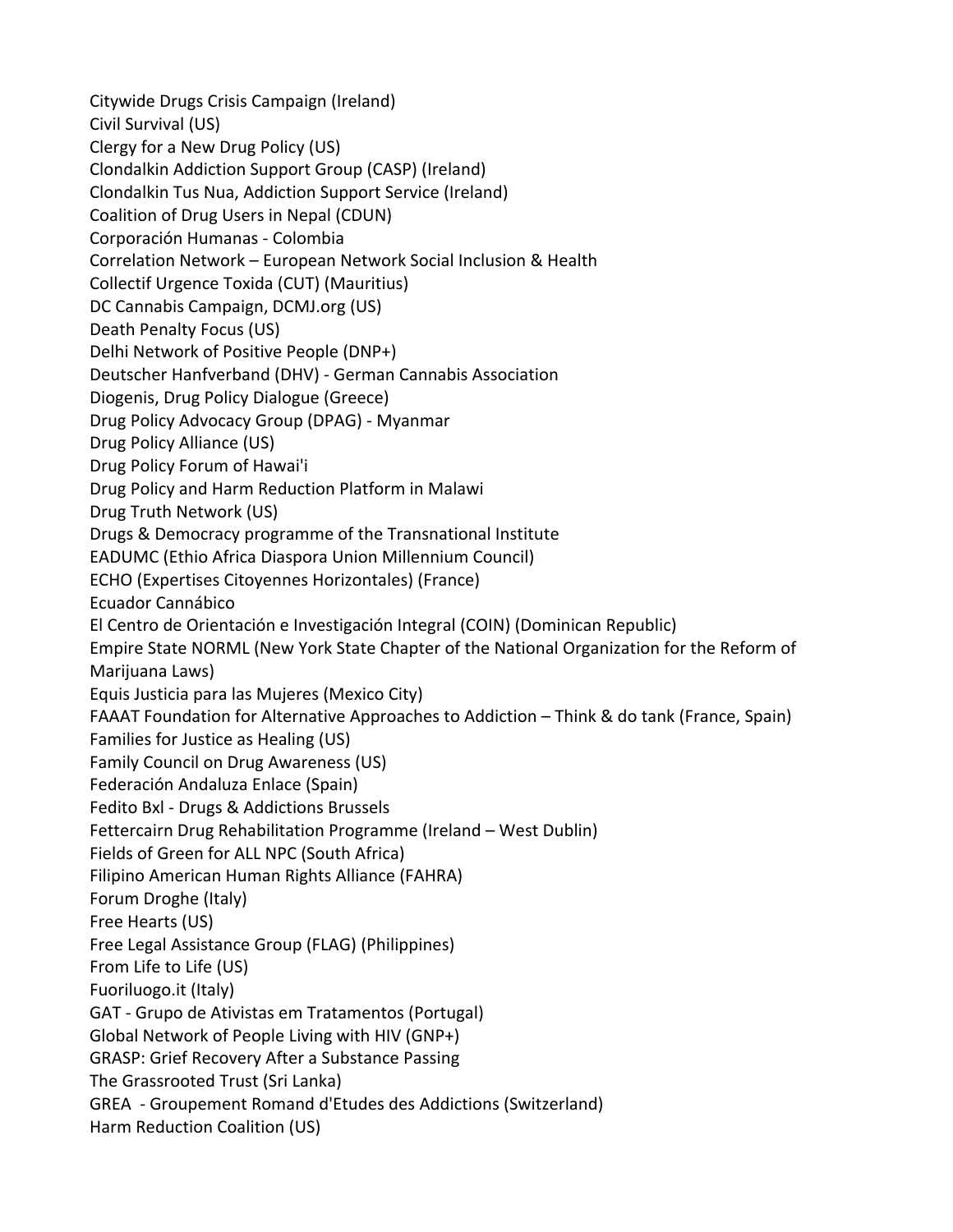Citywide Drugs Crisis Campaign (Ireland) Civil Survival (US) Clergy for a New Drug Policy (US) Clondalkin Addiction Support Group (CASP) (Ireland) Clondalkin Tus Nua, Addiction Support Service (Ireland) Coalition of Drug Users in Nepal (CDUN) Corporación Humanas ‐ Colombia Correlation Network – European Network Social Inclusion & Health Collectif Urgence Toxida (CUT) (Mauritius) DC Cannabis Campaign, DCMJ.org (US) Death Penalty Focus (US) Delhi Network of Positive People (DNP+) Deutscher Hanfverband (DHV) ‐ German Cannabis Association Diogenis, Drug Policy Dialogue (Greece) Drug Policy Advocacy Group (DPAG) ‐ Myanmar Drug Policy Alliance (US) Drug Policy Forum of Hawai'i Drug Policy and Harm Reduction Platform in Malawi Drug Truth Network (US) Drugs & Democracy programme of the Transnational Institute EADUMC (Ethio Africa Diaspora Union Millennium Council) ECHO (Expertises Citoyennes Horizontales) (France) Ecuador Cannábico El Centro de Orientación e Investigación Integral (COIN) (Dominican Republic) Empire State NORML (New York State Chapter of the National Organization for the Reform of Marijuana Laws) Equis Justicia para las Mujeres (Mexico City) FAAAT Foundation for Alternative Approaches to Addiction – Think & do tank (France, Spain) Families for Justice as Healing (US) Family Council on Drug Awareness (US) Federación Andaluza Enlace (Spain) Fedito Bxl ‐ Drugs & Addictions Brussels Fettercairn Drug Rehabilitation Programme (Ireland – West Dublin) Fields of Green for ALL NPC (South Africa) Filipino American Human Rights Alliance (FAHRA) Forum Droghe (Italy) Free Hearts (US) Free Legal Assistance Group (FLAG) (Philippines) From Life to Life (US) Fuoriluogo.it (Italy) GAT ‐ Grupo de Ativistas em Tratamentos (Portugal) Global Network of People Living with HIV (GNP+) GRASP: Grief Recovery After a Substance Passing The Grassrooted Trust (Sri Lanka) GREA ‐ Groupement Romand d'Etudes des Addictions (Switzerland) Harm Reduction Coalition (US)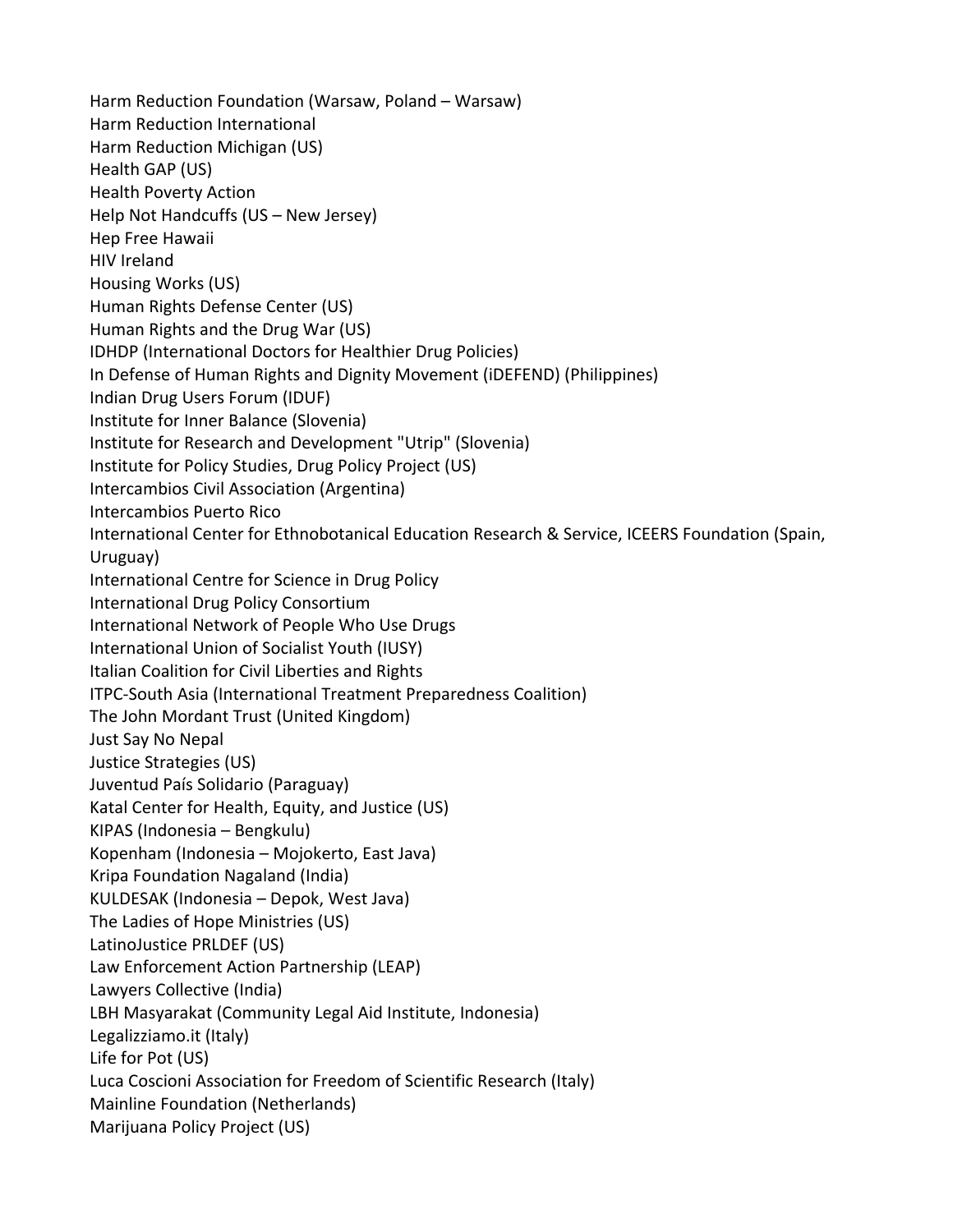Harm Reduction Foundation (Warsaw, Poland – Warsaw) Harm Reduction International Harm Reduction Michigan (US) Health GAP (US) Health Poverty Action Help Not Handcuffs (US – New Jersey) Hep Free Hawaii HIV Ireland Housing Works (US) Human Rights Defense Center (US) Human Rights and the Drug War (US) IDHDP (International Doctors for Healthier Drug Policies) In Defense of Human Rights and Dignity Movement (iDEFEND) (Philippines) Indian Drug Users Forum (IDUF) Institute for Inner Balance (Slovenia) Institute for Research and Development "Utrip" (Slovenia) Institute for Policy Studies, Drug Policy Project (US) Intercambios Civil Association (Argentina) Intercambios Puerto Rico International Center for Ethnobotanical Education Research & Service, ICEERS Foundation (Spain, Uruguay) International Centre for Science in Drug Policy International Drug Policy Consortium International Network of People Who Use Drugs International Union of Socialist Youth (IUSY) Italian Coalition for Civil Liberties and Rights ITPC‐South Asia (International Treatment Preparedness Coalition) The John Mordant Trust (United Kingdom) Just Say No Nepal Justice Strategies (US) Juventud País Solidario (Paraguay) Katal Center for Health, Equity, and Justice (US) KIPAS (Indonesia – Bengkulu) Kopenham (Indonesia – Mojokerto, East Java) Kripa Foundation Nagaland (India) KULDESAK (Indonesia – Depok, West Java) The Ladies of Hope Ministries (US) LatinoJustice PRLDEF (US) Law Enforcement Action Partnership (LEAP) Lawyers Collective (India) LBH Masyarakat (Community Legal Aid Institute, Indonesia) Legalizziamo.it (Italy) Life for Pot (US) Luca Coscioni Association for Freedom of Scientific Research (Italy) Mainline Foundation (Netherlands) Marijuana Policy Project (US)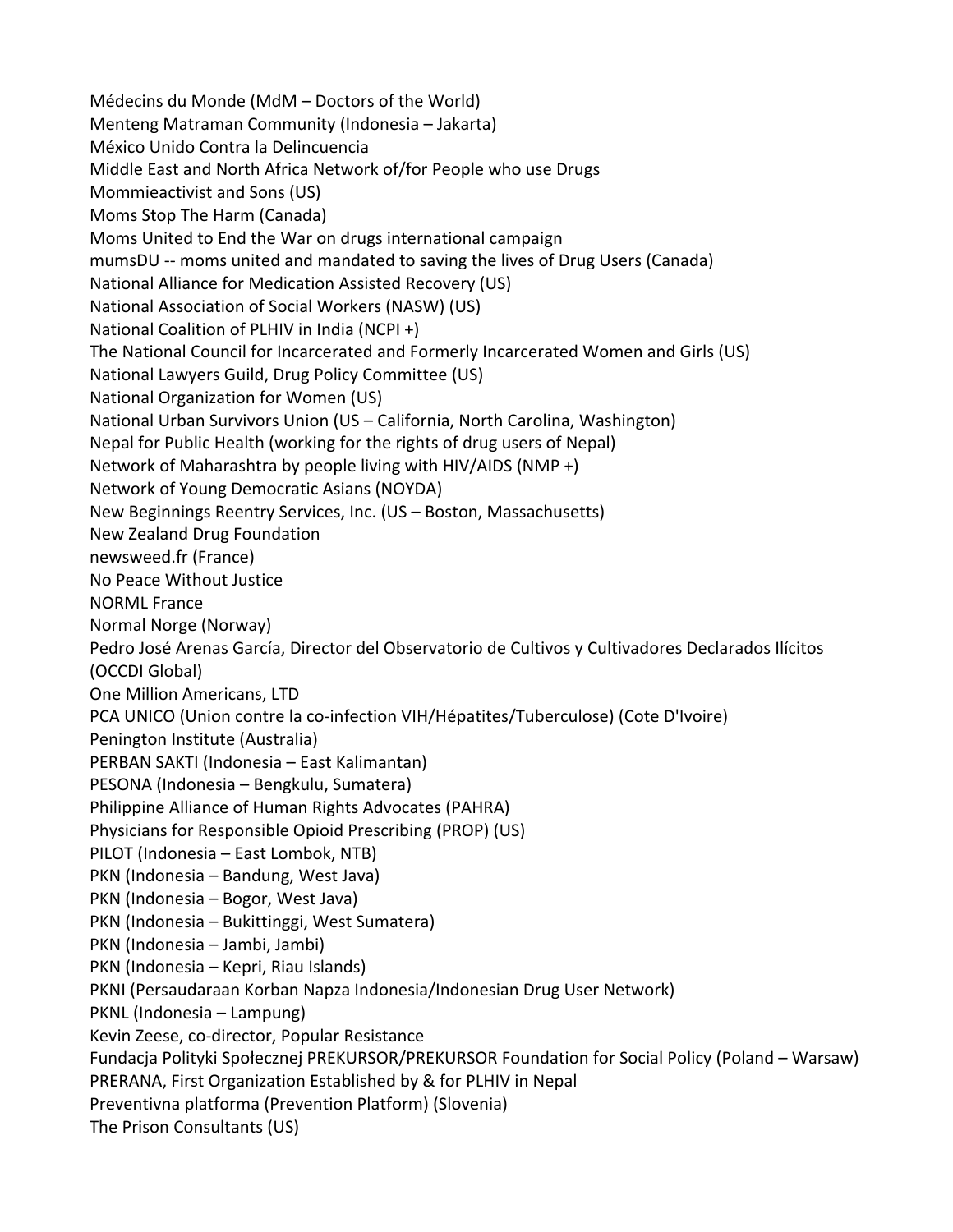Médecins du Monde (MdM – Doctors of the World) Menteng Matraman Community (Indonesia – Jakarta) México Unido Contra la Delincuencia Middle East and North Africa Network of/for People who use Drugs Mommieactivist and Sons (US) Moms Stop The Harm (Canada) Moms United to End the War on drugs international campaign mumsDU ‐‐ moms united and mandated to saving the lives of Drug Users (Canada) National Alliance for Medication Assisted Recovery (US) National Association of Social Workers (NASW) (US) National Coalition of PLHIV in India (NCPI +) The National Council for Incarcerated and Formerly Incarcerated Women and Girls (US) National Lawyers Guild, Drug Policy Committee (US) National Organization for Women (US) National Urban Survivors Union (US – California, North Carolina, Washington) Nepal for Public Health (working for the rights of drug users of Nepal) Network of Maharashtra by people living with HIV/AIDS (NMP +) Network of Young Democratic Asians (NOYDA) New Beginnings Reentry Services, Inc. (US – Boston, Massachusetts) New Zealand Drug Foundation newsweed.fr (France) No Peace Without Justice NORML France Normal Norge (Norway) Pedro José Arenas García, Director del Observatorio de Cultivos y Cultivadores Declarados Ilícitos (OCCDI Global) One Million Americans, LTD PCA UNICO (Union contre la co‐infection VIH/Hépatites/Tuberculose) (Cote D'Ivoire) Penington Institute (Australia) PERBAN SAKTI (Indonesia – East Kalimantan) PESONA (Indonesia – Bengkulu, Sumatera) Philippine Alliance of Human Rights Advocates (PAHRA) Physicians for Responsible Opioid Prescribing (PROP) (US) PILOT (Indonesia – East Lombok, NTB) PKN (Indonesia – Bandung, West Java) PKN (Indonesia – Bogor, West Java) PKN (Indonesia – Bukittinggi, West Sumatera) PKN (Indonesia – Jambi, Jambi) PKN (Indonesia – Kepri, Riau Islands) PKNI (Persaudaraan Korban Napza Indonesia/Indonesian Drug User Network) PKNL (Indonesia – Lampung) Kevin Zeese, co‐director, Popular Resistance Fundacja Polityki Społecznej PREKURSOR/PREKURSOR Foundation for Social Policy (Poland – Warsaw) PRERANA, First Organization Established by & for PLHIV in Nepal Preventivna platforma (Prevention Platform) (Slovenia) The Prison Consultants (US)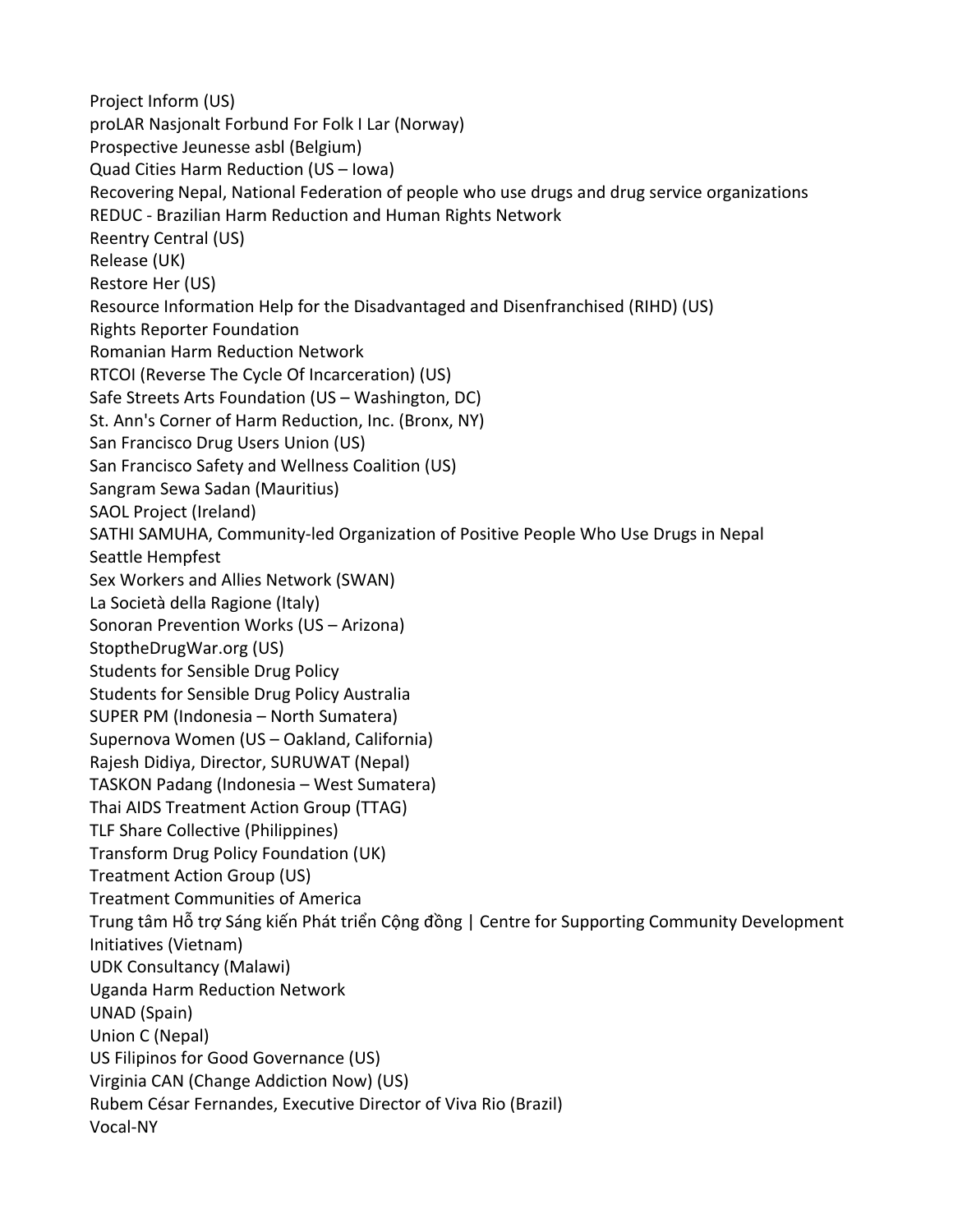Project Inform (US) proLAR Nasjonalt Forbund For Folk I Lar (Norway) Prospective Jeunesse asbl (Belgium) Quad Cities Harm Reduction (US – Iowa) Recovering Nepal, National Federation of people who use drugs and drug service organizations REDUC ‐ Brazilian Harm Reduction and Human Rights Network Reentry Central (US) Release (UK) Restore Her (US) Resource Information Help for the Disadvantaged and Disenfranchised (RIHD) (US) Rights Reporter Foundation Romanian Harm Reduction Network RTCOI (Reverse The Cycle Of Incarceration) (US) Safe Streets Arts Foundation (US – Washington, DC) St. Ann's Corner of Harm Reduction, Inc. (Bronx, NY) San Francisco Drug Users Union (US) San Francisco Safety and Wellness Coalition (US) Sangram Sewa Sadan (Mauritius) SAOL Project (Ireland) SATHI SAMUHA, Community‐led Organization of Positive People Who Use Drugs in Nepal Seattle Hempfest Sex Workers and Allies Network (SWAN) La Società della Ragione (Italy) Sonoran Prevention Works (US – Arizona) StoptheDrugWar.org (US) Students for Sensible Drug Policy Students for Sensible Drug Policy Australia SUPER PM (Indonesia – North Sumatera) Supernova Women (US – Oakland, California) Rajesh Didiya, Director, SURUWAT (Nepal) TASKON Padang (Indonesia – West Sumatera) Thai AIDS Treatment Action Group (TTAG) TLF Share Collective (Philippines) Transform Drug Policy Foundation (UK) Treatment Action Group (US) Treatment Communities of America Trung tâm Hỗ trợ Sáng kiến Phát triển Cộng đồng | Centre for Supporting Community Development Initiatives (Vietnam) UDK Consultancy (Malawi) Uganda Harm Reduction Network UNAD (Spain) Union C (Nepal) US Filipinos for Good Governance (US) Virginia CAN (Change Addiction Now) (US) Rubem César Fernandes, Executive Director of Viva Rio (Brazil) Vocal‐NY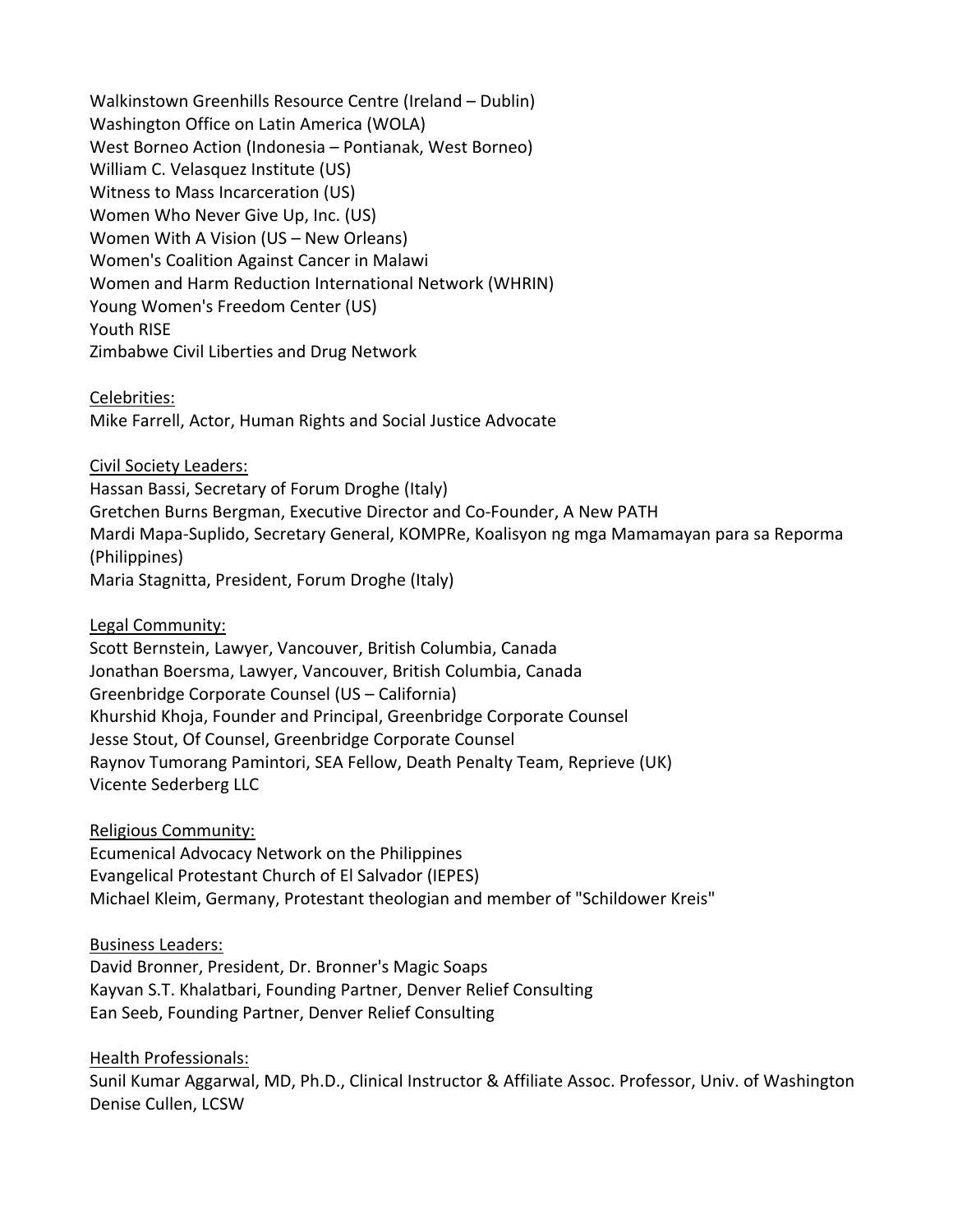Walkinstown Greenhills Resource Centre (Ireland – Dublin) Washington Office on Latin America (WOLA) West Borneo Action (Indonesia – Pontianak, West Borneo) William C. Velasquez Institute (US) Witness to Mass Incarceration (US) Women Who Never Give Up, Inc. (US) Women With A Vision (US – New Orleans) Women's Coalition Against Cancer in Malawi Women and Harm Reduction International Network (WHRIN) Young Women's Freedom Center (US) Youth RISE Zimbabwe Civil Liberties and Drug Network

Celebrities: Mike Farrell, Actor, Human Rights and Social Justice Advocate

Civil Society Leaders: Hassan Bassi, Secretary of Forum Droghe (Italy) Gretchen Burns Bergman, Executive Director and Co‐Founder, A New PATH Mardi Mapa‐Suplido, Secretary General, KOMPRe, Koalisyon ng mga Mamamayan para sa Reporma (Philippines) Maria Stagnitta, President, Forum Droghe (Italy)

Legal Community:

Scott Bernstein, Lawyer, Vancouver, British Columbia, Canada Jonathan Boersma, Lawyer, Vancouver, British Columbia, Canada Greenbridge Corporate Counsel (US – California) Khurshid Khoja, Founder and Principal, Greenbridge Corporate Counsel Jesse Stout, Of Counsel, Greenbridge Corporate Counsel Raynov Tumorang Pamintori, SEA Fellow, Death Penalty Team, Reprieve (UK) Vicente Sederberg LLC

Religious Community:

Ecumenical Advocacy Network on the Philippines Evangelical Protestant Church of El Salvador (IEPES) Michael Kleim, Germany, Protestant theologian and member of "Schildower Kreis"

Business Leaders:

David Bronner, President, Dr. Bronner's Magic Soaps Kayvan S.T. Khalatbari, Founding Partner, Denver Relief Consulting Ean Seeb, Founding Partner, Denver Relief Consulting

Health Professionals:

Sunil Kumar Aggarwal, MD, Ph.D., Clinical Instructor & Affiliate Assoc. Professor, Univ. of Washington Denise Cullen, LCSW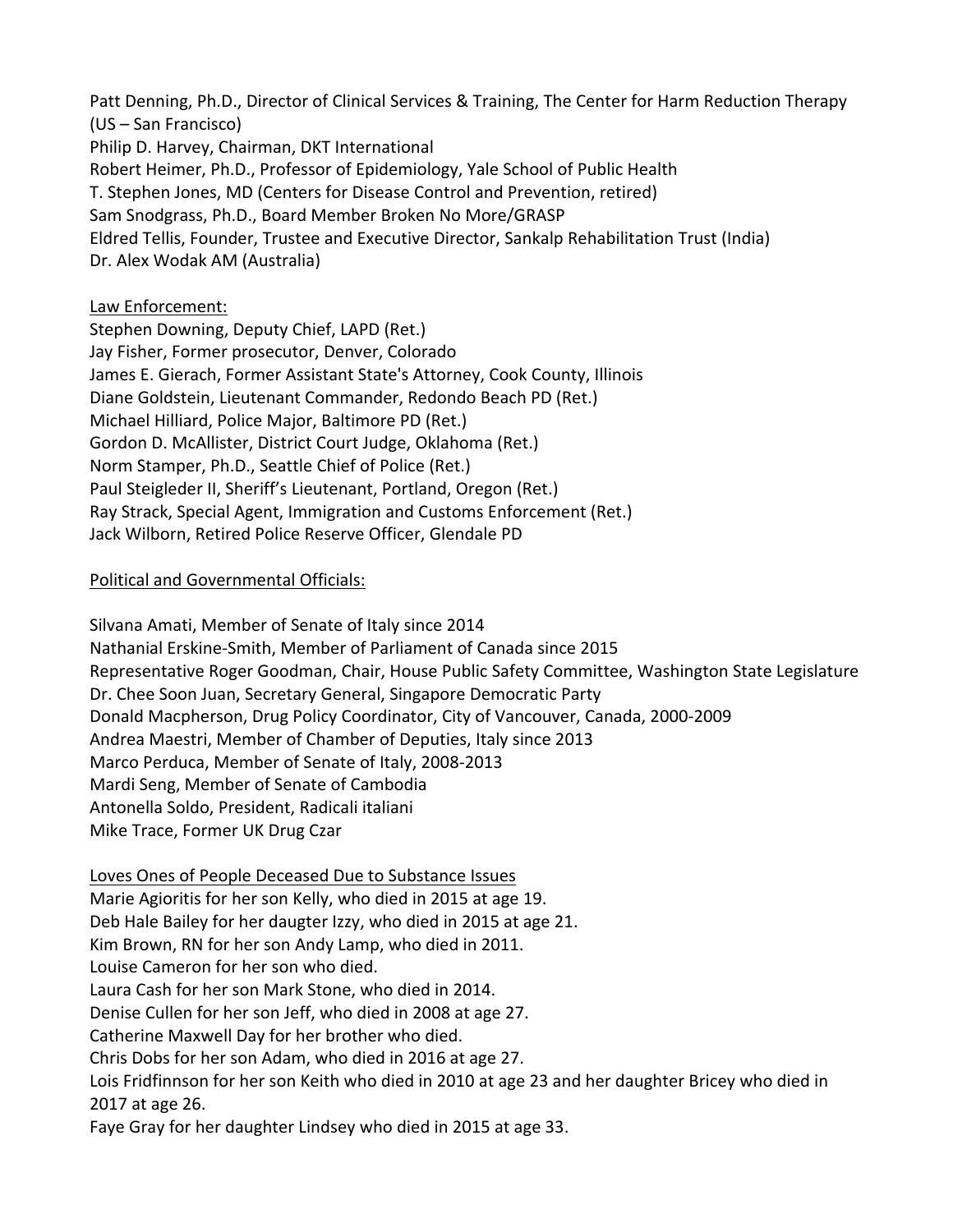Patt Denning, Ph.D., Director of Clinical Services & Training, The Center for Harm Reduction Therapy (US – San Francisco) Philip D. Harvey, Chairman, DKT International Robert Heimer, Ph.D., Professor of Epidemiology, Yale School of Public Health T. Stephen Jones, MD (Centers for Disease Control and Prevention, retired) Sam Snodgrass, Ph.D., Board Member Broken No More/GRASP Eldred Tellis, Founder, Trustee and Executive Director, Sankalp Rehabilitation Trust (India) Dr. Alex Wodak AM (Australia)

## Law Enforcement:

Stephen Downing, Deputy Chief, LAPD (Ret.) Jay Fisher, Former prosecutor, Denver, Colorado James E. Gierach, Former Assistant State's Attorney, Cook County, Illinois Diane Goldstein, Lieutenant Commander, Redondo Beach PD (Ret.) Michael Hilliard, Police Major, Baltimore PD (Ret.) Gordon D. McAllister, District Court Judge, Oklahoma (Ret.) Norm Stamper, Ph.D., Seattle Chief of Police (Ret.) Paul Steigleder II, Sheriff's Lieutenant, Portland, Oregon (Ret.) Ray Strack, Special Agent, Immigration and Customs Enforcement (Ret.) Jack Wilborn, Retired Police Reserve Officer, Glendale PD

## Political and Governmental Officials:

Silvana Amati, Member of Senate of Italy since 2014 Nathanial Erskine‐Smith, Member of Parliament of Canada since 2015 Representative Roger Goodman, Chair, House Public Safety Committee, Washington State Legislature Dr. Chee Soon Juan, Secretary General, Singapore Democratic Party Donald Macpherson, Drug Policy Coordinator, City of Vancouver, Canada, 2000‐2009 Andrea Maestri, Member of Chamber of Deputies, Italy since 2013 Marco Perduca, Member of Senate of Italy, 2008‐2013 Mardi Seng, Member of Senate of Cambodia Antonella Soldo, President, Radicali italiani Mike Trace, Former UK Drug Czar

Loves Ones of People Deceased Due to Substance Issues Marie Agioritis for her son Kelly, who died in 2015 at age 19. Deb Hale Bailey for her daugter Izzy, who died in 2015 at age 21. Kim Brown, RN for her son Andy Lamp, who died in 2011. Louise Cameron for her son who died. Laura Cash for her son Mark Stone, who died in 2014. Denise Cullen for her son Jeff, who died in 2008 at age 27. Catherine Maxwell Day for her brother who died. Chris Dobs for her son Adam, who died in 2016 at age 27. Lois Fridfinnson for her son Keith who died in 2010 at age 23 and her daughter Bricey who died in 2017 at age 26. Faye Gray for her daughter Lindsey who died in 2015 at age 33.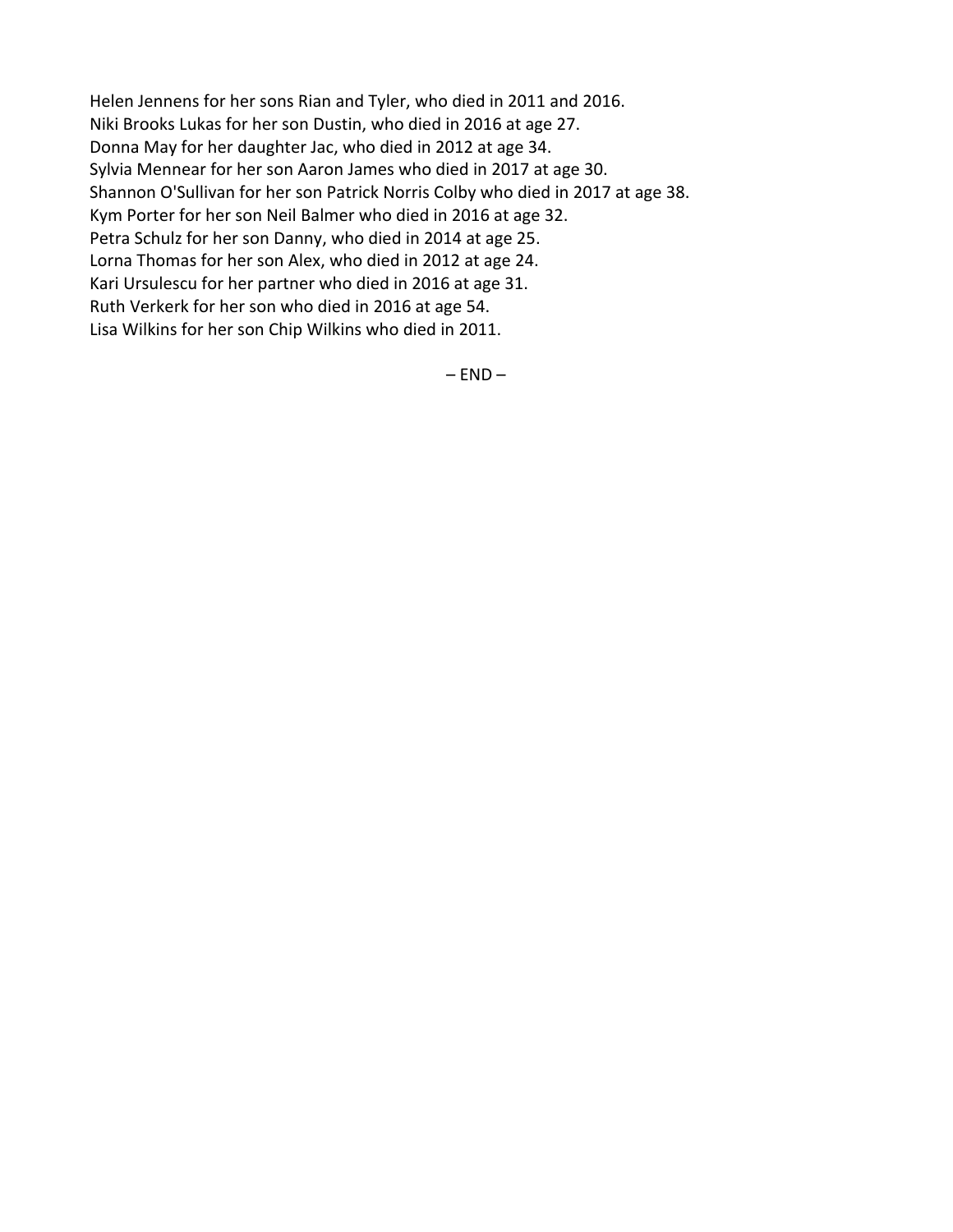Helen Jennens for her sons Rian and Tyler, who died in 2011 and 2016. Niki Brooks Lukas for her son Dustin, who died in 2016 at age 27. Donna May for her daughter Jac, who died in 2012 at age 34. Sylvia Mennear for her son Aaron James who died in 2017 at age 30. Shannon O'Sullivan for her son Patrick Norris Colby who died in 2017 at age 38. Kym Porter for her son Neil Balmer who died in 2016 at age 32. Petra Schulz for her son Danny, who died in 2014 at age 25. Lorna Thomas for her son Alex, who died in 2012 at age 24. Kari Ursulescu for her partner who died in 2016 at age 31. Ruth Verkerk for her son who died in 2016 at age 54. Lisa Wilkins for her son Chip Wilkins who died in 2011.

 $-$  END  $-$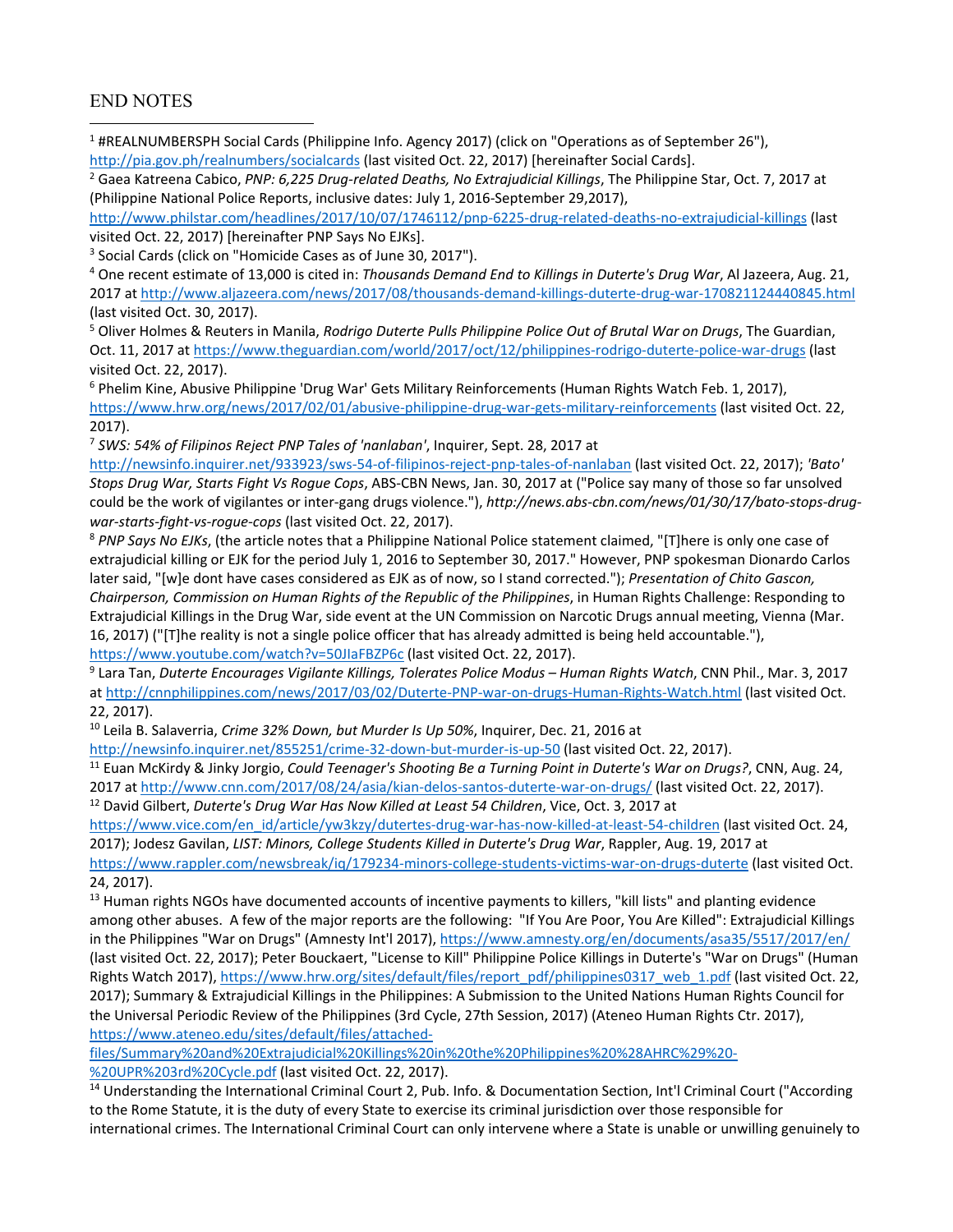#### END NOTES

<sup>1</sup> #REALNUMBERSPH Social Cards (Philippine Info. Agency 2017) (click on "Operations as of September 26"), http://pia.gov.ph/realnumbers/socialcards (last visited Oct. 22, 2017) [hereinafter Social Cards]. 

2 Gaea Katreena Cabico, *PNP: 6,225 Drug‐related Deaths, No Extrajudicial Killings*, The Philippine Star, Oct. 7, 2017 at (Philippine National Police Reports, inclusive dates: July 1, 2016‐September 29,2017),

http://www.philstar.com/headlines/2017/10/07/1746112/pnp‐6225‐drug‐related‐deaths‐no‐extrajudicial‐killings (last visited Oct. 22, 2017) [hereinafter PNP Says No EJKs].

<sup>3</sup> Social Cards (click on "Homicide Cases as of June 30, 2017").

4 One recent estimate of 13,000 is cited in: *Thousands Demand End to Killings in Duterte's Drug War*, Al Jazeera, Aug. 21, 2017 at http://www.aljazeera.com/news/2017/08/thousands‐demand‐killings‐duterte‐drug‐war‐170821124440845.html (last visited Oct. 30, 2017).

5 Oliver Holmes & Reuters in Manila, *Rodrigo Duterte Pulls Philippine Police Out of Brutal War on Drugs*, The Guardian, Oct. 11, 2017 at https://www.theguardian.com/world/2017/oct/12/philippines-rodrigo-duterte-police-war-drugs (last visited Oct. 22, 2017).

6 Phelim Kine, Abusive Philippine 'Drug War' Gets Military Reinforcements (Human Rights Watch Feb. 1, 2017), https://www.hrw.org/news/2017/02/01/abusive-philippine-drug-war-gets-military-reinforcements (last visited Oct. 22, 2017).

<sup>7</sup> *SWS: 54% of Filipinos Reject PNP Tales of 'nanlaban'*, Inquirer, Sept. 28, 2017 at

http://newsinfo.inquirer.net/933923/sws‐54‐of‐filipinos‐reject‐pnp‐tales‐of‐nanlaban (last visited Oct. 22, 2017); *'Bato' Stops Drug War, Starts Fight Vs Rogue Cops*, ABS‐CBN News, Jan. 30, 2017 at ("Police say many of those so far unsolved could be the work of vigilantes or inter-gang drugs violence."), http://news.abs-cbn.com/news/01/30/17/bato-stops-drug*war‐starts‐fight‐vs‐rogue‐cops* (last visited Oct. 22, 2017).

<sup>8</sup> *PNP Says No EJKs*, (the article notes that a Philippine National Police statement claimed, "[T]here is only one case of extrajudicial killing or EJK for the period July 1, 2016 to September 30, 2017." However, PNP spokesman Dionardo Carlos later said, "[w]e dont have cases considered as EJK as of now, so I stand corrected."); *Presentation of Chito Gascon, Chairperson, Commission on Human Rights of the Republic of the Philippines*, in Human Rights Challenge: Responding to Extrajudicial Killings in the Drug War, side event at the UN Commission on Narcotic Drugs annual meeting, Vienna (Mar. 16, 2017) ("[T]he reality is not a single police officer that has already admitted is being held accountable."), https://www.youtube.com/watch?v=50JIaFBZP6c (last visited Oct. 22, 2017).

9 Lara Tan, *Duterte Encourages Vigilante Killings, Tolerates Police Modus – Human Rights Watch*, CNN Phil., Mar. 3, 2017 at http://cnnphilippines.com/news/2017/03/02/Duterte-PNP-war-on-drugs-Human-Rights-Watch.html (last visited Oct. 22, 2017).

10 Leila B. Salaverria, *Crime 32% Down, but Murder Is Up 50%*, Inquirer, Dec. 21, 2016 at

http://newsinfo.inquirer.net/855251/crime-32-down-but-murder-is-up-50 (last visited Oct. 22, 2017).

11 Euan McKirdy & Jinky Jorgio, *Could Teenager's Shooting Be a Turning Point in Duterte's War on Drugs?*, CNN, Aug. 24, 2017 at http://www.cnn.com/2017/08/24/asia/kian-delos-santos-duterte-war-on-drugs/ (last visited Oct. 22, 2017). 12 David Gilbert, *Duterte's Drug War Has Now Killed at Least 54 Children*, Vice, Oct. 3, 2017 at

https://www.vice.com/en\_id/article/yw3kzy/dutertes-drug-war-has-now-killed-at-least-54-children (last visited Oct. 24, 2017); Jodesz Gavilan, *LIST: Minors, College Students Killed in Duterte's Drug War*, Rappler, Aug. 19, 2017 at

https://www.rappler.com/newsbreak/iq/179234-minors-college-students-victims-war-on-drugs-duterte (last visited Oct. 24, 2017).

<sup>13</sup> Human rights NGOs have documented accounts of incentive payments to killers, "kill lists" and planting evidence among other abuses. A few of the major reports are the following: "If You Are Poor, You Are Killed": Extrajudicial Killings in the Philippines "War on Drugs" (Amnesty Int'l 2017), https://www.amnesty.org/en/documents/asa35/5517/2017/en/ (last visited Oct. 22, 2017); Peter Bouckaert, "License to Kill" Philippine Police Killings in Duterte's "War on Drugs" (Human Rights Watch 2017), https://www.hrw.org/sites/default/files/report\_pdf/philippines0317\_web\_1.pdf (last visited Oct. 22, 2017); Summary & Extrajudicial Killings in the Philippines: A Submission to the United Nations Human Rights Council for the Universal Periodic Review of the Philippines (3rd Cycle, 27th Session, 2017) (Ateneo Human Rights Ctr. 2017), https://www.ateneo.edu/sites/default/files/attached‐

files/Summary%20and%20Extrajudicial%20Killings%20in%20the%20Philippines%20%28AHRC%29%20‐ %20UPR%203rd%20Cycle.pdf (last visited Oct. 22, 2017).

<sup>14</sup> Understanding the International Criminal Court 2, Pub. Info. & Documentation Section, Int'l Criminal Court ("According to the Rome Statute, it is the duty of every State to exercise its criminal jurisdiction over those responsible for international crimes. The International Criminal Court can only intervene where a State is unable or unwilling genuinely to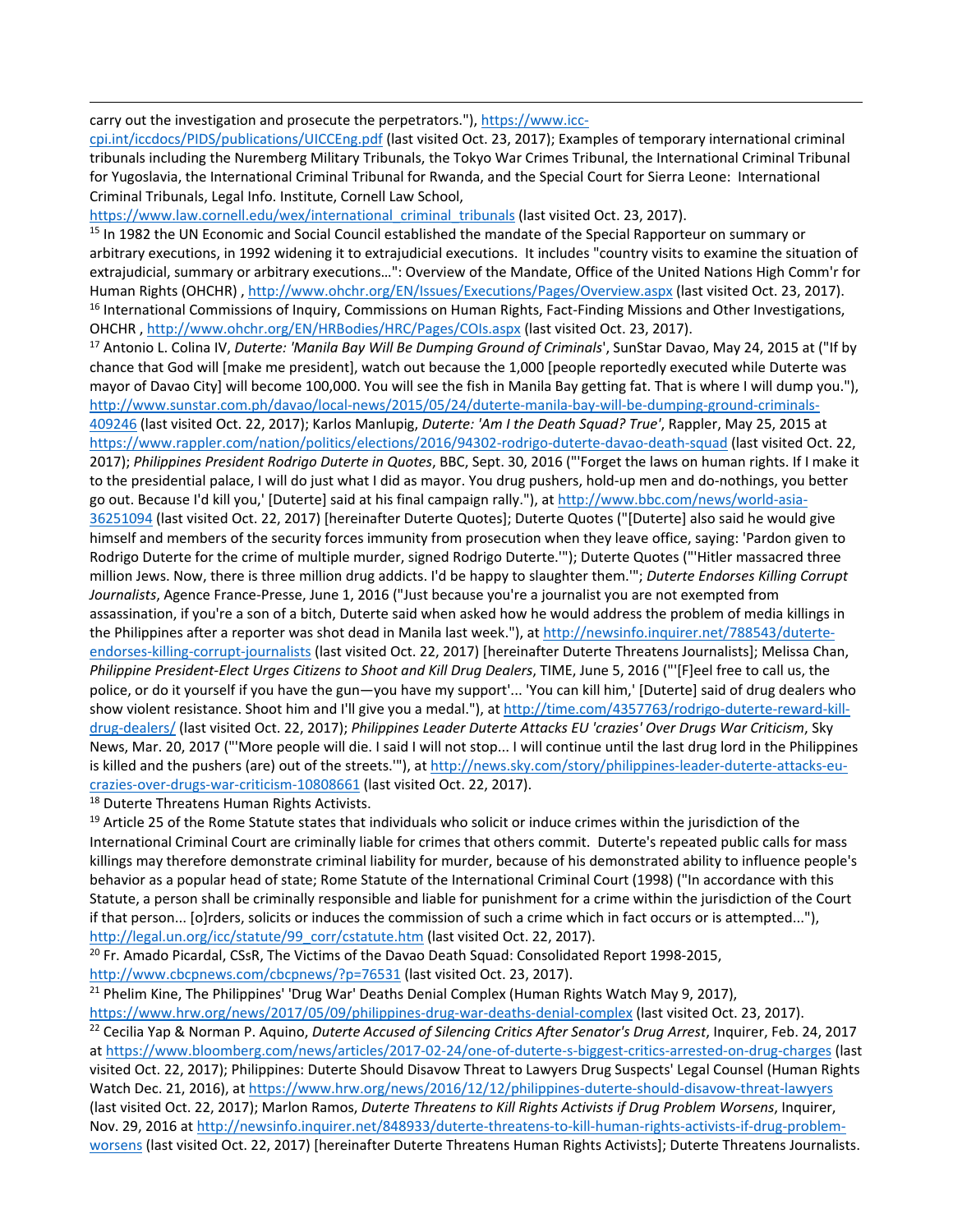#### carry out the investigation and prosecute the perpetrators."), https://www.icc-

cpi.int/iccdocs/PIDS/publications/UICCEng.pdf (last visited Oct. 23, 2017); Examples of temporary international criminal tribunals including the Nuremberg Military Tribunals, the Tokyo War Crimes Tribunal, the International Criminal Tribunal for Yugoslavia, the International Criminal Tribunal for Rwanda, and the Special Court for Sierra Leone: International Criminal Tribunals, Legal Info. Institute, Cornell Law School,

<u> 1989 - Andrea Santa Andrea Andrea Andrea Andrea Andrea Andrea Andrea Andrea Andrea Andrea Andrea Andrea Andr</u>

https://www.law.cornell.edu/wex/international\_criminal\_tribunals (last visited Oct. 23, 2017).

<sup>15</sup> In 1982 the UN Economic and Social Council established the mandate of the Special Rapporteur on summary or arbitrary executions, in 1992 widening it to extrajudicial executions. It includes "country visits to examine the situation of extrajudicial, summary or arbitrary executions…": Overview of the Mandate, Office of the United Nations High Comm'r for Human Rights (OHCHR) , http://www.ohchr.org/EN/Issues/Executions/Pages/Overview.aspx (last visited Oct. 23, 2017).  $16$  International Commissions of Inquiry, Commissions on Human Rights, Fact-Finding Missions and Other Investigations, OHCHR , http://www.ohchr.org/EN/HRBodies/HRC/Pages/COIs.aspx (last visited Oct. 23, 2017).

17 Antonio L. Colina IV, *Duterte: 'Manila Bay Will Be Dumping Ground of Criminals*', SunStar Davao, May 24, 2015 at ("If by chance that God will [make me president], watch out because the 1,000 [people reportedly executed while Duterte was mayor of Davao City] will become 100,000. You will see the fish in Manila Bay getting fat. That is where I will dump you."), http://www.sunstar.com.ph/davao/local-news/2015/05/24/duterte-manila-bay-will-be-dumping-ground-criminals-409246 (last visited Oct. 22, 2017); Karlos Manlupig, *Duterte: 'Am I the Death Squad? True'*, Rappler, May 25, 2015 at https://www.rappler.com/nation/politics/elections/2016/94302-rodrigo-duterte-davao-death-squad (last visited Oct. 22, 2017); *Philippines President Rodrigo Duterte in Quotes*, BBC, Sept. 30, 2016 ("'Forget the laws on human rights. If I make it to the presidential palace, I will do just what I did as mayor. You drug pushers, hold‐up men and do‐nothings, you better go out. Because I'd kill you,' [Duterte] said at his final campaign rally."), at http://www.bbc.com/news/world‐asia‐ 36251094 (last visited Oct. 22, 2017) [hereinafter Duterte Quotes]; Duterte Quotes ("[Duterte] also said he would give himself and members of the security forces immunity from prosecution when they leave office, saying: 'Pardon given to Rodrigo Duterte for the crime of multiple murder, signed Rodrigo Duterte.'"); Duterte Quotes ("'Hitler massacred three million Jews. Now, there is three million drug addicts. I'd be happy to slaughter them.'"; *Duterte Endorses Killing Corrupt Journalists*, Agence France‐Presse, June 1, 2016 ("Just because you're a journalist you are not exempted from assassination, if you're a son of a bitch, Duterte said when asked how he would address the problem of media killings in the Philippines after a reporter was shot dead in Manila last week."), at http://newsinfo.inquirer.net/788543/duterteendorses-killing-corrupt-journalists (last visited Oct. 22, 2017) [hereinafter Duterte Threatens Journalists]; Melissa Chan, *Philippine President‐Elect Urges Citizens to Shoot and Kill Drug Dealers*, TIME, June 5, 2016 ("'[F]eel free to call us, the police, or do it yourself if you have the gun—you have my support'... 'You can kill him,' [Duterte] said of drug dealers who show violent resistance. Shoot him and I'll give you a medal."), at http://time.com/4357763/rodrigo-duterte-reward-killdrug‐dealers/ (last visited Oct. 22, 2017); *Philippines Leader Duterte Attacks EU 'crazies' Over Drugs War Criticism*, Sky News, Mar. 20, 2017 ("'More people will die. I said I will not stop... I will continue until the last drug lord in the Philippines is killed and the pushers (are) out of the streets.""), at http://news.sky.com/story/philippines-leader-duterte-attacks-eucrazies‐over‐drugs‐war‐criticism‐10808661 (last visited Oct. 22, 2017).

<sup>18</sup> Duterte Threatens Human Rights Activists.

 $19$  Article 25 of the Rome Statute states that individuals who solicit or induce crimes within the jurisdiction of the International Criminal Court are criminally liable for crimes that others commit. Duterte's repeated public calls for mass killings may therefore demonstrate criminal liability for murder, because of his demonstrated ability to influence people's behavior as a popular head of state; Rome Statute of the International Criminal Court (1998) ("In accordance with this Statute, a person shall be criminally responsible and liable for punishment for a crime within the jurisdiction of the Court if that person... [o]rders, solicits or induces the commission of such a crime which in fact occurs or is attempted..."), http://legal.un.org/icc/statute/99\_corr/cstatute.htm (last visited Oct. 22, 2017).

<sup>20</sup> Fr. Amado Picardal, CSsR, The Victims of the Davao Death Squad: Consolidated Report 1998-2015, http://www.cbcpnews.com/cbcpnews/?p=76531 (last visited Oct. 23, 2017).

<sup>21</sup> Phelim Kine, The Philippines' 'Drug War' Deaths Denial Complex (Human Rights Watch May 9, 2017), https://www.hrw.org/news/2017/05/09/philippines-drug-war-deaths-denial-complex (last visited Oct. 23, 2017).

22 Cecilia Yap & Norman P. Aquino, *Duterte Accused of Silencing Critics After Senator's Drug Arrest*, Inquirer, Feb. 24, 2017 at https://www.bloomberg.com/news/articles/2017‐02‐24/one‐of‐duterte‐s‐biggest‐critics‐arrested‐on‐drug‐charges (last visited Oct. 22, 2017); Philippines: Duterte Should Disavow Threat to Lawyers Drug Suspects' Legal Counsel (Human Rights Watch Dec. 21, 2016), at https://www.hrw.org/news/2016/12/12/philippines-duterte-should-disavow-threat-lawyers (last visited Oct. 22, 2017); Marlon Ramos, *Duterte Threatens to Kill Rights Activists if Drug Problem Worsens*, Inquirer, Nov. 29, 2016 at http://newsinfo.inquirer.net/848933/duterte-threatens-to-kill-human-rights-activists-if-drug-problemworsens (last visited Oct. 22, 2017) [hereinafter Duterte Threatens Human Rights Activists]; Duterte Threatens Journalists.